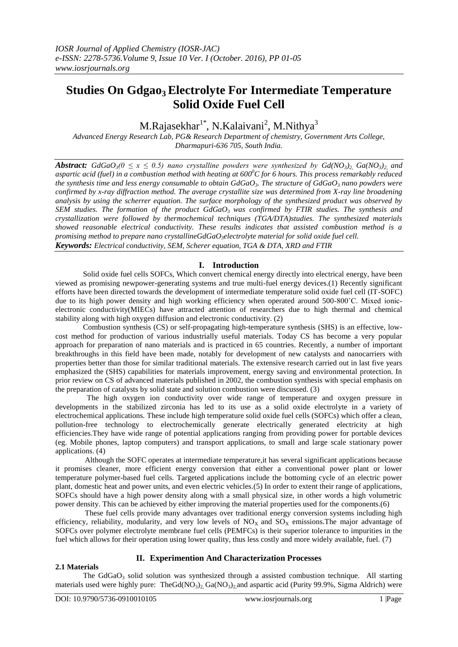# **Studies On Gdgao3 Electrolyte For Intermediate Temperature Solid Oxide Fuel Cell**

M.Rajasekhar<sup>1\*</sup>, N.Kalaivani<sup>2</sup>, M.Nithya<sup>3</sup>

*Advanced Energy Research Lab, PG& Research Department of chemistry, Government Arts College, Dharmapuri-636 705, South India.*

*Abstract:*  $GdGaO<sub>3</sub>(0 \le x \le 0.5)$  nano crystalline powders were synthesized by  $Gd(NO<sub>3</sub>)$ <sup>2</sup>  $Ga(NO<sub>3</sub>)$ <sup>2</sup> and *aspartic acid (fuel) in a combustion method with heating at 600 <sup>0</sup>C for 6 hours. This process remarkably reduced the synthesis time and less energy consumable to obtain GdGaO3. The structure of GdGaO<sup>3</sup> nano powders were confirmed by x-ray diffraction method. The average crystallite size was determined from X-ray line broadening analysis by using the scherrer equation. The surface morphology of the synthesized product was observed by SEM studies. The formation of the product GdGaO<sup>3</sup> was confirmed by FTIR studies. The synthesis and crystallization were followed by thermochemical techniques (TGA/DTA)studies. The synthesized materials showed reasonable electrical conductivity. These results indicates that assisted combustion method is a promising method to prepare nano crystallineGdGaO3electrolyte material for solid oxide fuel cell. Keywords: Electrical conductivity, SEM, Scherer equation, TGA & DTA, XRD and FTIR*

## **I. Introduction**

Solid oxide fuel cells SOFCs, Which convert chemical energy directly into electrical energy, have been viewed as promising newpower-generating systems and true multi-fuel energy devices.(1) Recently significant efforts have been directed towards the development of intermediate temperature solid oxide fuel cell (IT-SOFC) due to its high power density and high working efficiency when operated around 500-800˚C. Mixed ionicelectronic conductivity(MIECs) have attracted attention of researchers due to high thermal and chemical stability along with high oxygen diffusion and electronic conductivity. (2)

Combustion synthesis (CS) or self-propagating high-temperature synthesis (SHS) is an effective, lowcost method for production of various industrially useful materials. Today CS has become a very popular approach for preparation of nano materials and is practiced in 65 countries. Recently, a number of important breakthroughs in this field have been made, notably for development of new catalysts and nanocarriers with properties better than those for similar traditional materials. The extensive research carried out in last five years emphasized the (SHS) capabilities for materials improvement, energy saving and environmental protection. In prior review on CS of advanced materials published in 2002, the combustion synthesis with special emphasis on the preparation of catalysts by solid state and solution combustion were discussed. (3)

 The high oxygen ion conductivity over wide range of temperature and oxygen pressure in developments in the stabilized zirconia has led to its use as a solid oxide electrolyte in a variety of electrochemical applications. These include high temperature solid oxide fuel cells (SOFCs) which offer a clean, pollution-free technology to electrochemically generate electrically generated electricity at high efficiencies.They have wide range of potential applications ranging from providing power for portable devices (eg. Mobile phones, laptop computers) and transport applications, to small and large scale stationary power applications. (4)

Although the SOFC operates at intermediate temperature,it has several significant applications because it promises cleaner, more efficient energy conversion that either a conventional power plant or lower temperature polymer-based fuel cells. Targeted applications include the bottoming cycle of an electric power plant, domestic heat and power units, and even electric vehicles.(5) In order to extent their range of applications, SOFCs should have a high power density along with a small physical size, in other words a high volumetric power density. This can be achieved by either improving the material properties used for the components.(6)

These fuel cells provide many advantages over traditional energy conversion systems including high efficiency, reliability, modularity, and very low levels of  $NO<sub>X</sub>$  and  $SO<sub>X</sub>$  emissions. The major advantage of SOFCs over polymer electrolyte membrane fuel cells (PEMFCs) is their superior tolerance to impurities in the fuel which allows for their operation using lower quality, thus less costly and more widely available, fuel. (7)

## **II. Experimention And Characterization Processes**

## **2.1 Materials**

The  $GdGaO<sub>3</sub>$  solid solution was synthesized through a assisted combustion technique. All starting materials used were highly pure: TheGd(NO<sub>3</sub>)<sub>2</sub>, Ga(NO<sub>3</sub>)<sub>2</sub>, and aspartic acid (Purity 99.9%, Sigma Aldrich) were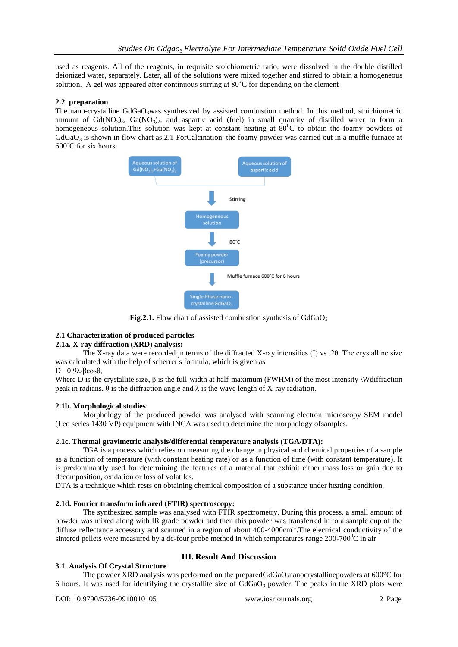used as reagents. All of the reagents, in requisite stoichiometric ratio, were dissolved in the double distilled deionized water, separately. Later, all of the solutions were mixed together and stirred to obtain a homogeneous solution. A gel was appeared after continuous stirring at 80˚C for depending on the element

#### **2.2 preparation**

The nano-crystalline  $GdGaO<sub>3</sub>$ was synthesized by assisted combustion method. In this method, stoichiometric amount of  $Gd(NO_3)$ <sub>3</sub>,  $Ga(NO_3)$ <sub>2</sub>, and aspartic acid (fuel) in small quantity of distilled water to form a homogeneous solution. This solution was kept at constant heating at  $80^{\circ}$ C to obtain the foamy powders of  $GdGaO<sub>3</sub>$  is shown in flow chart as.2.1 ForCalcination, the foamy powder was carried out in a muffle furnace at 600˚C for six hours.



**Fig.2.1.** Flow chart of assisted combustion synthesis of GdGaO<sub>3</sub>

## **2.1 Characterization of produced particles**

## **2.1a. X-ray diffraction (XRD) analysis:**

The X-ray data were recorded in terms of the diffracted X-ray intensities (I) vs .2θ. The crystalline size was calculated with the help of scherrer' s formula, which is given as

## $D = 0.9\lambda/6\cos\theta$ .

Where D is the crystallite size, β is the full-width at half-maximum (FWHM) of the most intensity \Wdiffraction peak in radians, θ is the diffraction angle and λ is the wave length of X-ray radiation.

#### **2.1b. Morphological studies**:

Morphology of the produced powder was analysed with scanning electron microscopy SEM model (Leo series 1430 VP) equipment with INCA was used to determine the morphology ofsamples.

## 2**.1c. Thermal gravimetric analysis/differential temperature analysis (TGA/DTA):**

TGA is a process which relies on measuring the change in physical and chemical properties of a sample as a function of temperature (with constant heating rate) or as a function of time (with constant temperature). It is predominantly used for determining the features of a material that exhibit either mass loss or gain due to decomposition, oxidation or loss of volatiles.

DTA is a technique which rests on obtaining chemical composition of a substance under heating condition.

## **2.1d. Fourier transform infrared (FTIR) spectroscopy:**

The synthesized sample was analysed with FTIR spectrometry. During this process, a small amount of powder was mixed along with IR grade powder and then this powder was transferred in to a sample cup of the diffuse reflectance accessory and scanned in a region of about 400-4000cm<sup>-1</sup>. The electrical conductivity of the sintered pellets were measured by a dc-four probe method in which temperatures range  $200-700^{\circ}\text{C}$  in air

## **3.1. Analysis Of Crystal Structure**

## **III. Result And Discussion**

The powder XRD analysis was performed on the preparedGdGaO3nanocrystallinepowders at  $600^{\circ}$ C for 6 hours. It was used for identifying the crystallite size of  $GdGaO<sub>3</sub>$  powder. The peaks in the XRD plots were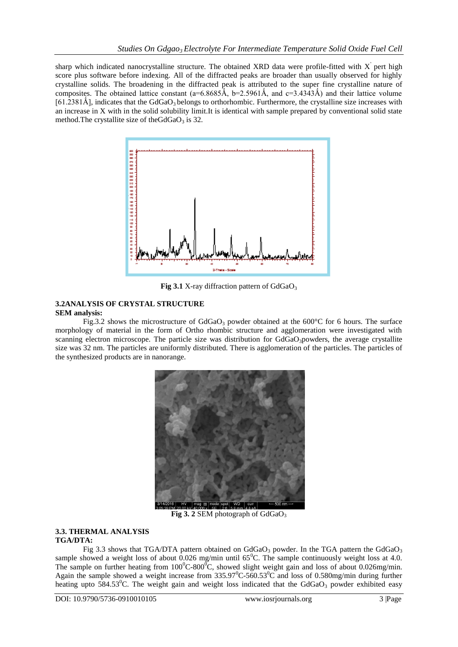sharp which indicated nanocrystalline structure. The obtained XRD data were profile-fitted with  $X'$  pert high score plus software before indexing. All of the diffracted peaks are broader than usually observed for highly crystalline solids. The broadening in the diffracted peak is attributed to the super fine crystalline nature of composites. The obtained lattice constant (a=6.8685 $\hat{A}$ , b=2.5961 $\hat{A}$ , and c=3.4343 $\hat{A}$ ) and their lattice volume  $[61.2381Å]$ , indicates that the GdGaO<sub>3</sub> belongs to orthorhombic. Furthermore, the crystalline size increases with an increase in X with in the solid solubility limit.It is identical with sample prepared by conventional solid state method. The crystallite size of the GdGaO<sub>3</sub> is 32.



**Fig 3.1** X-ray diffraction pattern of GdGaO<sub>3</sub>

#### **3.2ANALYSIS OF CRYSTAL STRUCTURE SEM analysis:**

Fig.3.2 shows the microstructure of  $GdGaO<sub>3</sub>$  powder obtained at the 600°C for 6 hours. The surface morphology of material in the form of Ortho rhombic structure and agglomeration were investigated with scanning electron microscope. The particle size was distribution for  $GdGaO<sub>3</sub>$ powders, the average crystallite size was 32 nm. The particles are uniformly distributed. There is agglomeration of the particles. The particles of the synthesized products are in nanorange.



**Fig 3. 2 SEM photograph of GdGaO<sub>3</sub>** 

#### **3.3. THERMAL ANALYSIS TGA/DTA:**

Fig 3.3 shows that TGA/DTA pattern obtained on  $GdGaO<sub>3</sub>$  powder. In the TGA pattern the  $GdGaO<sub>3</sub>$ sample showed a weight loss of about 0.026 mg/min until  $65^{\circ}$ C. The sample continuously weight loss at 4.0. The sample on further heating from  $100^{\circ}$ C-800 $^{\circ}$ C, showed slight weight gain and loss of about 0.026mg/min. Again the sample showed a weight increase from  $335.97^{\circ}$ C-560.53 $^{\circ}$ C and loss of 0.580mg/min during further heating upto 584.53<sup>o</sup>C. The weight gain and weight loss indicated that the GdGaO<sub>3</sub> powder exhibited easy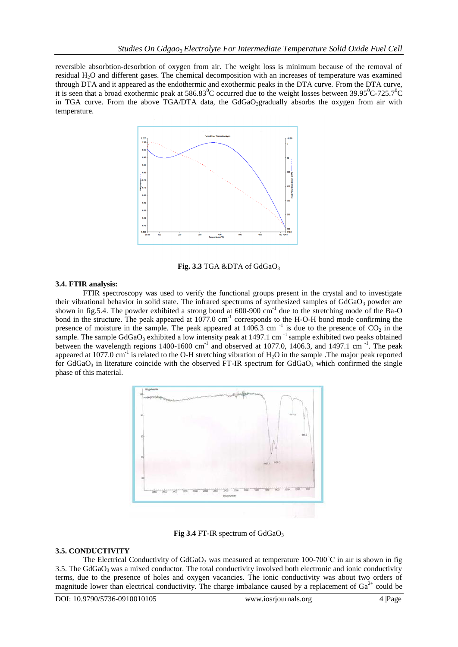reversible absorbtion-desorbtion of oxygen from air. The weight loss is minimum because of the removal of residual H2O and different gases. The chemical decomposition with an increases of temperature was examined through DTA and it appeared as the endothermic and exothermic peaks in the DTA curve. From the DTA curve, it is seen that a broad exothermic peak at  $586.83^{\circ}$ C occurred due to the weight losses between  $39.95^{\circ}$ C-725.7<sup>o</sup>C in TGA curve. From the above TGA/DTA data, the  $GdGaO<sub>3</sub>$ gradually absorbs the oxygen from air with temperature.



Fig. 3.3 TGA &DTA of GdGaO<sub>3</sub>

## **3.4. FTIR analysis:**

FTIR spectroscopy was used to verify the functional groups present in the crystal and to investigate their vibrational behavior in solid state. The infrared spectrums of synthesized samples of  $GdGaO<sub>3</sub>$  powder are shown in fig.5.4. The powder exhibited a strong bond at  $600-900$  cm<sup>-1</sup> due to the stretching mode of the Ba-O bond in the structure. The peak appeared at 1077.0 cm<sup>-1</sup> corresponds to the H-O-H bond mode confirming the presence of moisture in the sample. The peak appeared at  $1406.3$  cm<sup>-1</sup> is due to the presence of  $CO_2$  in the sample. The sample GdGaO<sub>3</sub> exhibited a low intensity peak at 1497.1 cm<sup>-1</sup> sample exhibited two peaks obtained between the wavelength regions  $1400-1600$  cm<sup>-1</sup> and observed at 1077.0, 1406.3, and 1497.1 cm<sup>-1</sup>. The peak appeared at 1077.0 cm<sup>-1</sup> is related to the O-H stretching vibration of  $H_2O$  in the sample .The major peak reported for  $GdGaO<sub>3</sub>$  in literature coincide with the observed FT-IR spectrum for  $GdGaO<sub>3</sub>$  which confirmed the single phase of this material.



Fig 3.4 FT-IR spectrum of GdGaO<sub>3</sub>

#### **3.5. CONDUCTIVITY**

The Electrical Conductivity of  $GdGaO<sub>3</sub>$  was measured at temperature 100-700°C in air is shown in fig 3.5. The  $GdGaO<sub>3</sub>$  was a mixed conductor. The total conductivity involved both electronic and ionic conductivity terms, due to the presence of holes and oxygen vacancies. The ionic conductivity was about two orders of magnitude lower than electrical conductivity. The charge imbalance caused by a replacement of  $Ga^{2+}$  could be